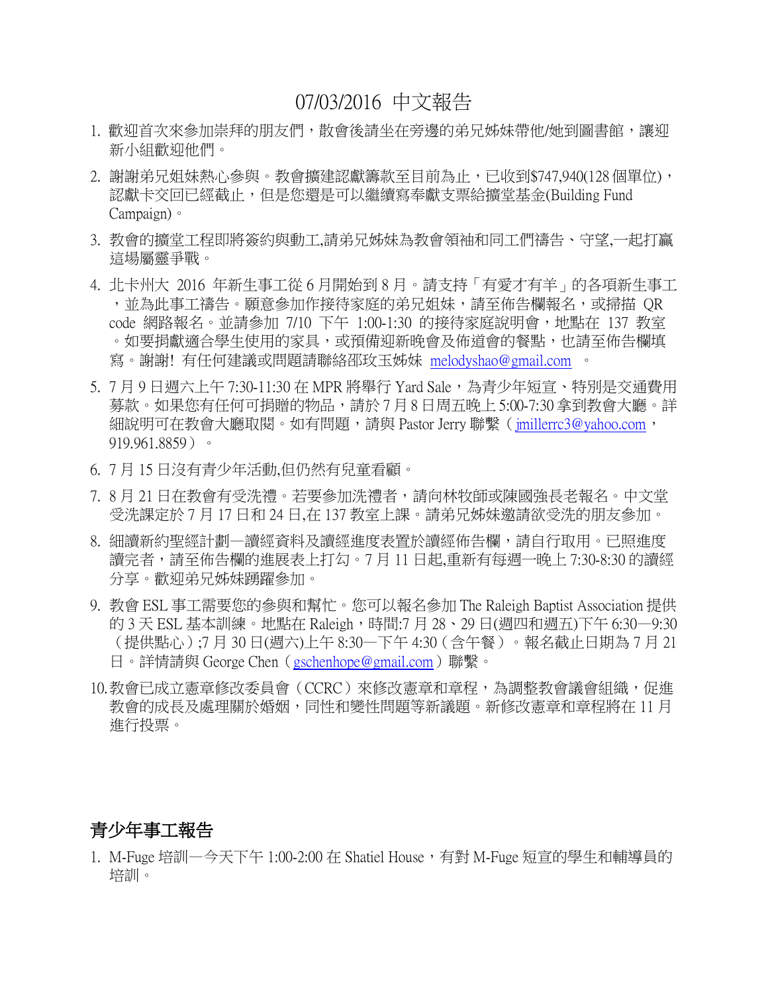## 07/03/2016 中文報告

- 1. 歡迎首次來參加崇拜的朋友們,散會後請坐在旁邊的弟兄姊妹帶他/她到圖書館,讓迎 新小組歡迎他們。
- 2. 謝謝弟兄姐妹熱心參與。教會擴建認獻籌款至目前為止,已收到\$747,940(128 個單位), 認獻卡交回已經截止,但是您還是可以繼續寫奉獻支票給擴堂基金(Building Fund Campaign)。
- 3. 教會的擴堂工程即將簽約與動工,請弟兄姊妹為教會領袖和同工們禱告、守望,一起打贏 這場屬靈爭戰。
- 4. 北卡州大 2016 年新生事工從 6 月開始到 8 月。請支持「有愛才有羊」的各項新生事工 ,並為此事工禱告。願意參加作接待家庭的弟兄姐妹,請至佈告欄報名,或掃描 QR code 網路報名。並請參加 7/10 下午 1:00-1:30 的接待家庭說明會,地點在 137 教室 。如要捐獻適合學生使用的家具,或預備迎新晚會及佈道會的餐點,也請至佈告欄填 寫。謝謝! 有任何建議或問題請聯絡邵玫玉姊妹 [melodyshao@gmail.com](mailto:melodyshao@gmail.com) 。
- 5. 7 月 9 日週六上午 7:30-11:30 在 MPR 將舉行 Yard Sale, 為青少年短官、特別是交通費用 募款。如果您有任何可捐贈的物品,請於 7 月 8 日周五晚上 5:00-7:30 拿到教會大廳。詳 細說明可在教會大廳取閱。如有問題,請與 Pastor Jerry 聯繫 (imillerrc3@yahoo.com, 919.961.8859)。
- 6. 7 月 15 日沒有青少年活動,但仍然有兒童看顧。
- 7.8月21日在教會有受洗禮。若要參加洗禮者,請向林牧師或陳國強長老報名。中文堂 受洗課定於 7 月 17 日和 24 日,在 137 教室上課。請弟兄姊妹邀請欲受洗的朋友參加。
- 8. 細讀新約聖經計劃—讀經資料及讀經進度表置於讀經佈告欄,請自行取用。已照進度 讀完者,請至佈告欄的進展表上打勾。7 月 11 日起,重新有每週一晚上 7:30-8:30 的讀經 分享。歡迎弟兄姊妹踴躍參加。
- 9. 教會 ESL 事工需要您的參與和幫忙。您可以報名參加 The Raleigh Baptist Association 提供 的 3 天 ESL 基本訓練。地點在 Raleigh,時間:7 月 28、29 日(週四和週五)下午 6:30—9:30 (提供點心);7 月 30 日(週六)上午 8:30—下午 4:30(含午餐)。報名截止日期為 7 月 21 日。詳情請與 George Chen([gschenhope@gmail.com](mailto:gschenhope@gmail.com))聯繫。
- 10.教會已成立憲章修改委員會(CCRC)來修改憲章和章程,為調整教會議會組織,促進 教會的成長及處理關於婚姻,同性和變性問題等新議題。新修改憲章和章程將在 11 月 進行投票。

### 青少年事工報告

1. M-Fuge 培訓—今天下午 1:00-2:00 在 Shatiel House,有對 M-Fuge 短宣的學生和輔導員的 培訓。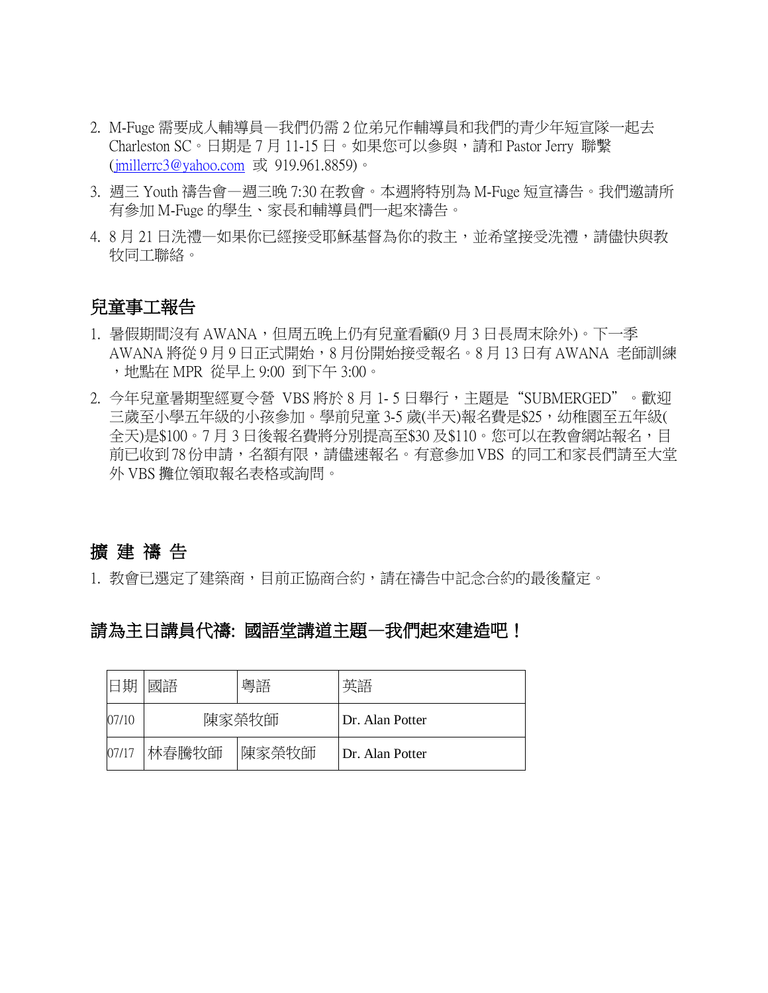- 2. M-Fuge 需要成人輔導員—我們仍需 2 位弟兄作輔導員和我們的青少年短宣隊一起去 Charleston SC。日期是 7 月 11-15 日。如果您可以參與,請和 Pastor Jerry 聯繫 [\(jmillerrc3@yahoo.com](mailto:jmillerrc3@yahoo.com) 或 919.961.8859)。
- 3. 週三 Youth 禱告會—週三晚 7:30 在教會。本週將特別為 M-Fuge 短宣禱告。我們邀請所 有參加 M-Fuge 的學生、家長和輔導員們一起來禱告。
- 4. 8 月 21 日洗禮—如果你已經接受耶穌基督為你的救主, 並希望接受洗禮,請儘快與教 牧同工聯絡。

#### 兒童事工報告

- 1. 暑假期間沒有 AWANA,但周五晚上仍有兒童看顧(9月3日長周末除外)。下一季 AWANA 將從 9 月 9 日正式開始,8 月份開始接受報名。8 月 13 日有 AWANA 老師訓練 ,地點在 MPR 從早上 9:00 到下午 3:00。
- 2. 今年兒童暑期聖經夏令營 VBS 將於 8 月 1- 5 日舉行,主題是"SUBMERGED"。歡迎 三歳至小學五年級的小孩參加。學前兒童 3-5 歳(半天)報名費是\$25,幼稚園至五年級( 全天)是\$100。7月3日後報名費將分別提高至\$30及\$110。您可以在教會網站報名,目 前已收到78份申請,名額有限,請儘速報名。有意參加 VBS 的同工和家長們請至大堂 外 VBS 攤位領取報名表格或詢問。

## 擴 建 禱 告

1. 教會已選定了建築商,目前正協商合約,請在禱告中記念合約的最後釐定。

### 請為主日講員代禱: 國語堂講道主題—我們起來建造吧!

| 旧期    | 國語     | 粵語    | 英語              |
|-------|--------|-------|-----------------|
| 07/10 | 陳家榮牧師  |       | Dr. Alan Potter |
| 07/17 | '林春騰牧師 | 陳家榮牧師 | Dr. Alan Potter |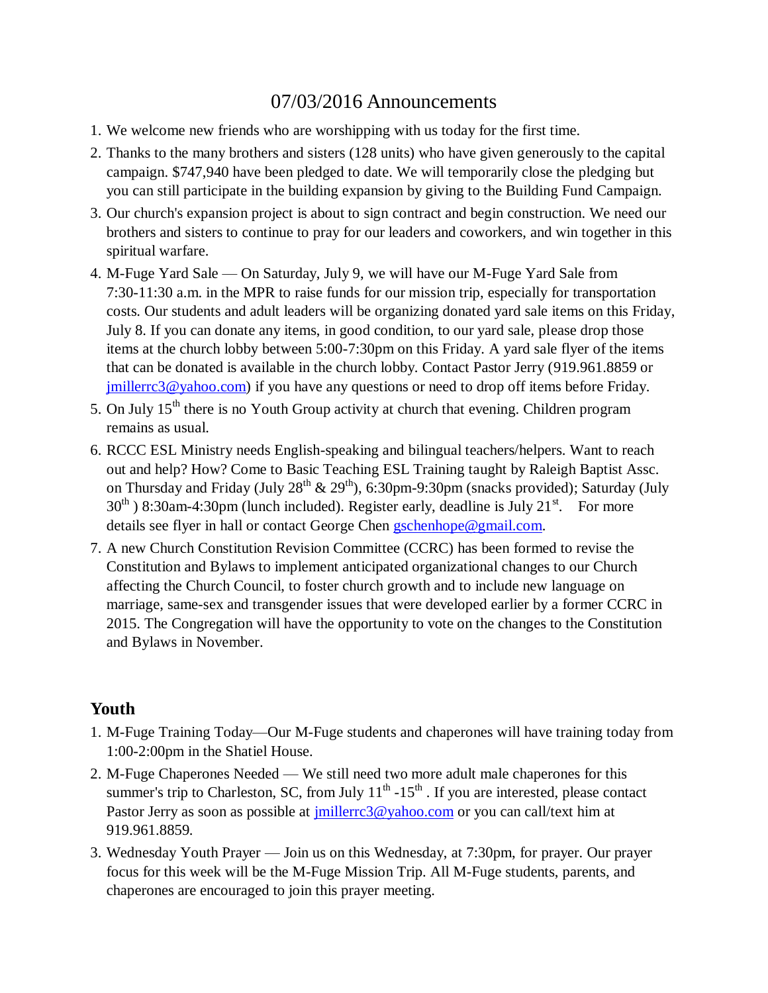# 07/03/2016 Announcements

- 1. We welcome new friends who are worshipping with us today for the first time.
- 2. Thanks to the many brothers and sisters (128 units) who have given generously to the capital campaign. \$747,940 have been pledged to date. We will temporarily close the pledging but you can still participate in the building expansion by giving to the Building Fund Campaign.
- 3. Our church's expansion project is about to sign contract and begin construction. We need our brothers and sisters to continue to pray for our leaders and coworkers, and win together in this spiritual warfare.
- 4. M-Fuge Yard Sale On Saturday, July 9, we will have our M-Fuge Yard Sale from 7:30-11:30 a.m. in the MPR to raise funds for our mission trip, especially for transportation costs. Our students and adult leaders will be organizing donated yard sale items on this Friday, July 8. If you can donate any items, in good condition, to our yard sale, please drop those items at the church lobby between 5:00-7:30pm on this Friday. A yard sale flyer of the items that can be donated is available in the church lobby. Contact Pastor Jerry (919.961.8859 or [jmillerrc3@yahoo.com\)](mailto:jmillerrc3@yahoo.com) if you have any questions or need to drop off items before Friday.
- 5. On July  $15<sup>th</sup>$  there is no Youth Group activity at church that evening. Children program remains as usual.
- 6. RCCC ESL Ministry needs English-speaking and bilingual teachers/helpers. Want to reach out and help? How? Come to Basic Teaching ESL Training taught by Raleigh Baptist Assc. on Thursday and Friday (July  $28^{th}$  &  $29^{th}$ ), 6:30pm-9:30pm (snacks provided); Saturday (July  $30<sup>th</sup>$ ) 8:30am-4:30pm (lunch included). Register early, deadline is July 21<sup>st</sup>. For more details see flyer in hall or contact George Chen [gschenhope@gmail.com.](mailto:gschenhope@gmail.com)
- 7. A new Church Constitution Revision Committee (CCRC) has been formed to revise the Constitution and Bylaws to implement anticipated organizational changes to our Church affecting the Church Council, to foster church growth and to include new language on marriage, same-sex and transgender issues that were developed earlier by a former CCRC in 2015. The Congregation will have the opportunity to vote on the changes to the Constitution and Bylaws in November.

### **Youth**

- 1. M-Fuge Training Today—Our M-Fuge students and chaperones will have training today from 1:00-2:00pm in the Shatiel House.
- 2. M-Fuge Chaperones Needed We still need two more adult male chaperones for this summer's trip to Charleston, SC, from July  $11<sup>th</sup> - 15<sup>th</sup>$ . If you are interested, please contact Pastor Jerry as soon as possible at [jmillerrc3@yahoo.com](mailto:jmillerrc3@yahoo.com) or you can call/text him at 919.961.8859.
- 3. Wednesday Youth Prayer Join us on this Wednesday, at 7:30pm, for prayer. Our prayer focus for this week will be the M-Fuge Mission Trip. All M-Fuge students, parents, and chaperones are encouraged to join this prayer meeting.